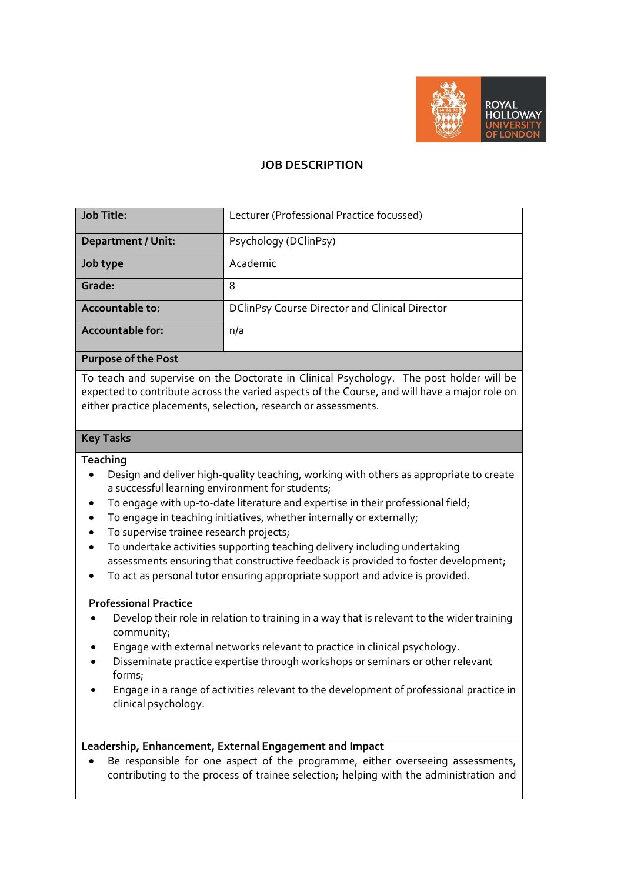

# **JOB DESCRIPTION**

| <b>Job Title:</b>         | Lecturer (Professional Practice focussed)             |
|---------------------------|-------------------------------------------------------|
| <b>Department / Unit:</b> | Psychology (DClinPsy)                                 |
| Job type                  | Academic                                              |
| Grade:                    | 8                                                     |
| <b>Accountable to:</b>    | <b>DClinPsy Course Director and Clinical Director</b> |
| <b>Accountable for:</b>   | n/a                                                   |
|                           |                                                       |

#### **Purpose of the Post**

To teach and supervise on the Doctorate in Clinical Psychology. The post holder will be expected to contribute across the varied aspects of the Course, and will have a major role on either practice placements, selection, research or assessments.

### **Key Tasks**

### **Teaching**

- Design and deliver high-quality teaching, working with others as appropriate to create a successful learning environment for students;
- To engage with up-to-date literature and expertise in their professional field;
- To engage in teaching initiatives, whether internally or externally;
- To supervise trainee research projects;
- To undertake activities supporting teaching delivery including undertaking assessments ensuring that constructive feedback is provided to foster development;
- To act as personal tutor ensuring appropriate support and advice is provided.

### **Professional Practice**

- Develop their role in relation to training in a way that is relevant to the wider training community;
- Engage with external networks relevant to practice in clinical psychology.
- Disseminate practice expertise through workshops or seminars or other relevant forms;
- Engage in a range of activities relevant to the development of professional practice in clinical psychology.

### **Leadership, Enhancement, External Engagement and Impact**

 Be responsible for one aspect of the programme, either overseeing assessments, contributing to the process of trainee selection; helping with the administration and